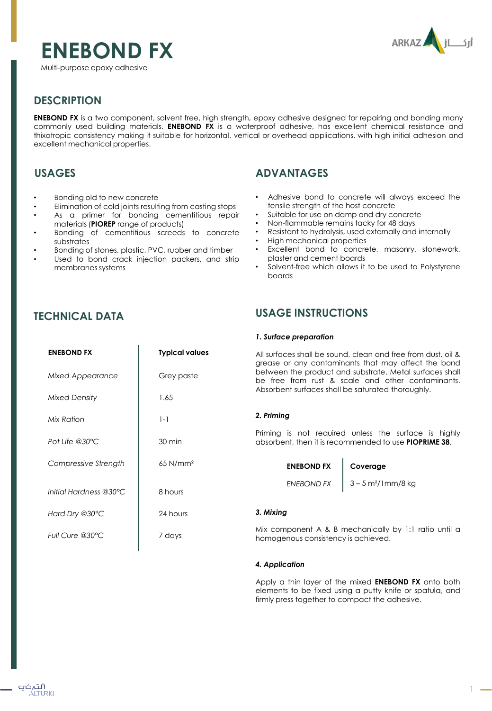



Multi-purpose epoxy adhesive

# **DESCRIPTION**

**ENEBOND FX** is a two component, solvent free, high strength, epoxy adhesive designed for repairing and bonding many commonly used building materials. **ENEBOND FX** is a waterproof adhesive, has excellent chemical resistance and thixotropic consistency making it suitable for horizontal, vertical or overhead applications, with high initial adhesion and excellent mechanical properties.

## **USAGES**

- Bonding old to new concrete
- Elimination of cold joints resulting from casting stops
- As a primer for bonding cementitious repair materials (**PIOREP** range of products)
- Bonding of cementitious screeds to concrete substrates
- Bonding of stones, plastic, PVC, rubber and timber
- Used to bond crack injection packers, and strip membranes systems

# **ADVANTAGES**

- Adhesive bond to concrete will always exceed the tensile strength of the host concrete
- Suitable for use on damp and dry concrete
- Non-flammable remains tacky for 48 days
- Resistant to hydrolysis, used externally and internally
- High mechanical properties
- Excellent bond to concrete, masonry, stonework, plaster and cement boards
- Solvent-free which allows it to be used to Polystyrene boards

## **TECHNICAL DATA**

### **USAGE INSTRUCTIONS**

### *1. Surface preparation*

| <b>ENEBOND FX</b>       | <b>Typical values</b>  | All surfaces shall be sound, clean and free from dust, oil &<br>grease or any contaminants that may affect the bond<br>between the product and substrate. Metal surfaces shall<br>be free from rust & scale and other contaminants.<br>Absorbent surfaces shall be saturated thoroughly. |                                  |  |
|-------------------------|------------------------|------------------------------------------------------------------------------------------------------------------------------------------------------------------------------------------------------------------------------------------------------------------------------------------|----------------------------------|--|
| <b>Mixed Appearance</b> | Grey paste             |                                                                                                                                                                                                                                                                                          |                                  |  |
| <b>Mixed Density</b>    | 1.65                   |                                                                                                                                                                                                                                                                                          |                                  |  |
| Mix Ration              | $1 - 1$                | 2. Priming                                                                                                                                                                                                                                                                               |                                  |  |
| Pot Life $@30°C$        | 30 min                 | Priming is not required unless the surface is highly<br>absorbent, then it is recommended to use <b>PIOPRIME 38.</b>                                                                                                                                                                     |                                  |  |
| Compressive Strength    | $65$ N/mm <sup>2</sup> | <b>ENEBOND FX</b>                                                                                                                                                                                                                                                                        | Coverage                         |  |
| Initial Hardness @30°C  | 8 hours                | <b>ENEBOND FX</b>                                                                                                                                                                                                                                                                        | $3 - 5$ m <sup>2</sup> /1mm/8 kg |  |
| Hard Dry @30°C          | 24 hours               | 3. Mixing                                                                                                                                                                                                                                                                                |                                  |  |
| Full Cure @30°C         | 7 days                 | Mix component A & B mechanically by 1:1 ratio until a<br>homogenous consistency is achieved.                                                                                                                                                                                             |                                  |  |
|                         |                        |                                                                                                                                                                                                                                                                                          |                                  |  |

### *4. Application*

Apply a thin layer of the mixed **ENEBOND FX** onto both elements to be fixed using a putty knife or spatula, and firmly press together to compact the adhesive.